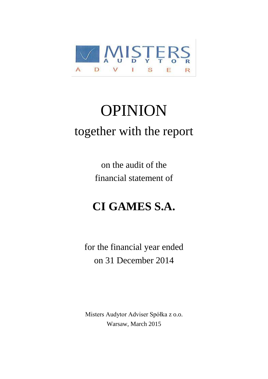

# OPINION together with the report

on the audit of the financial statement of

# **CI GAMES S.A.**

for the financial year ended on 31 December 2014

Misters Audytor Adviser Spółka z o.o. Warsaw, March 2015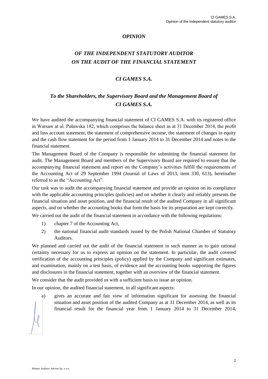# *OPINION*

# *OF THE INDEPENDENT STATUTORY AUDITOR ON THE AUDIT OF THE FINANCIAL STATEMENT*

# *CI GAMES S.A.*

# *To the Shareholders, the Supervisory Board and the Management Board of CI GAMES S.A.*

We have audited the accompanying financial statement of CI GAMES S.A. with its registered office in Warsaw at ul. Puławska 182, which comprises the balance sheet as at 31 December 2014, the profit and loss account statement, the statement of comprehensive income, the statement of changes in equity and the cash flow statement for the period from 1 January 2014 to 31 December 2014 and notes to the financial statement.

The Management Board of the Company is responsible for submitting the financial statement for audit. The Management Board and members of the Supervisory Board are required to ensure that the accompanying financial statement and report on the Company's activities fulfill the requirements of the Accounting Act of 29 September 1994 (Journal of Laws of 2013, item 330, 613), hereinafter referred to as the "Accounting Act".

Our task was to audit the accompanying financial statement and provide an opinion on its compliance with the applicable accounting principles (policies) and on whether it clearly and reliably presents the financial situation and asset position, and the financial result of the audited Company in all significant aspects, and on whether the accounting books that form the basis for its preparation are kept correctly.

We carried out the audit of the financial statement in accordance with the following regulations:

- 1) chapter 7 of the Accounting Act,
- 2) the national financial audit standards issued by the Polish National Chamber of Statutory Auditors.

We planned and carried out the audit of the financial statement in such manner as to gain rational certainty necessary for us to express an opinion on the statement. In particular, the audit covered verification of the accounting principles (policy) applied by the Company and significant estimates, and examination, mainly on a test basis, of evidence and the accounting books supporting the figures and disclosures in the financial statement, together with an overview of the financial statement.

We consider that the audit provided us with a sufficient basis to issue an opinion.

In our opinion, the audited financial statement, in all significant aspects:

a) gives an accurate and fair view of information significant for assessing the financial situation and asset position of the audited Company as at 31 December 2014, as well as its financial result for the financial year from 1 January 2014 to 31 December 2014,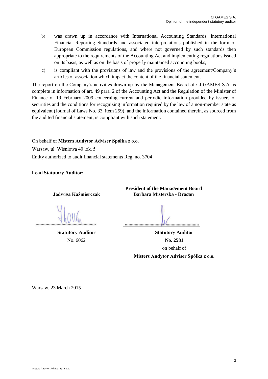- b) was drawn up in accordance with International Accounting Standards, International Financial Reporting Standards and associated interpretations published in the form of European Commission regulations, and where not governed by such standards then appropriate to the requirements of the Accounting Act and implementing regulations issued on its basis, as well as on the basis of properly maintained accounting books,
- c) is compliant with the provisions of law and the provisions of the agreement/Company's articles of association which impact the content of the financial statement.

The report on the Company's activities drawn up by the Management Board of CI GAMES S.A. is complete in information of art. 49 para. 2 of the Accounting Act and the Regulation of the Minister of Finance of 19 February 2009 concerning current and periodic information provided by issuers of securities and the conditions for recognizing information required by the law of a non-member state as equivalent (Journal of Laws No. 33, item 259), and the information contained therein, as sourced from the audited financial statement, is compliant with such statement.

On behalf of **Misters Audytor Adviser Spółka z o.o.** Warsaw, ul. Wiśniowa 40 lok. 5 Entity authorized to audit financial statements Reg. no. 3704

**Lead Statutory Auditor:**

**Jadwiga Kaźmierczak Barbara Misterska - Dragan**

**President of the Management Board**

**Statutory Auditor Statutory Auditor** No. 6062 **No. 2581** on behalf of

**Misters Audytor Adviser Spółka z o.o.**

Warsaw, 23 March 2015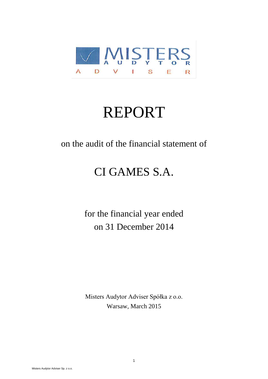

# REPORT

on the audit of the financial statement of

# CI GAMES S.A.

for the financial year ended on 31 December 2014

Misters Audytor Adviser Spółka z o.o. Warsaw, March 2015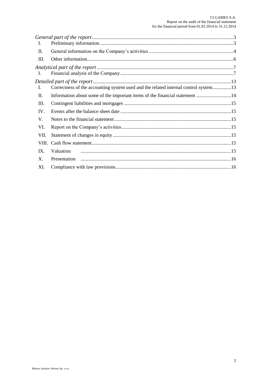| <b>I.</b>      |                                                                                     |  |
|----------------|-------------------------------------------------------------------------------------|--|
| П.             |                                                                                     |  |
| Ш.             |                                                                                     |  |
|                |                                                                                     |  |
| L              |                                                                                     |  |
|                |                                                                                     |  |
| Т.             | Correctness of the accounting system used and the related internal control system13 |  |
| П.             | Information about some of the important items of the financial statement 14         |  |
| Ш.             |                                                                                     |  |
| IV.            |                                                                                     |  |
| V.             |                                                                                     |  |
| VI.            |                                                                                     |  |
| VII.           |                                                                                     |  |
|                |                                                                                     |  |
| IX.            | Valuation                                                                           |  |
| $\mathbf{X}$ . |                                                                                     |  |
| XI.            |                                                                                     |  |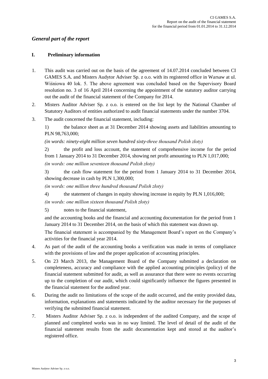# *General part of the report*

# **I. Preliminary information**

- 1. This audit was carried out on the basis of the agreement of 14.07.2014 concluded between CI GAMES S.A. and Misters Audytor Adviser Sp. z o.o. with its registered office in Warsaw at ul. Wiśniowa 40 lok. 5. The above agreement was concluded based on the Supervisory Board resolution no. 3 of 16 April 2014 concerning the appointment of the statutory auditor carrying out the audit of the financial statement of the Company for 2014.
- 2. Misters Auditor Adviser Sp. z o.o. is entered on the list kept by the National Chamber of Statutory Auditors of entities authorized to audit financial statements under the number 3704.
- 3. The audit concerned the financial statement, including:

1) the balance sheet as at 31 December 2014 showing assets and liabilities amounting to PLN 98,763,000;

*(in words: ninety-eight million seven hundred sixty-three thousand Polish złoty)*

2) the profit and loss account, the statement of comprehensive income for the period from 1 January 2014 to 31 December 2014, showing net profit amounting to PLN 1,017,000; *(in words: one million seventeen thousand Polish złoty)*

3) the cash flow statement for the period from 1 January 2014 to 31 December 2014, showing decrease in cash by PLN 1,300,000;

*(in words: one million three hundred thousand Polish złoty)*

4) the statement of changes in equity showing increase in equity by PLN 1,016,000;

*(in words: one million sixteen thousand Polish złoty)*

5) notes to the financial statement,

and the accounting books and the financial and accounting documentation for the period from 1 January 2014 to 31 December 2014, on the basis of which this statement was drawn up.

The financial statement is accompanied by the Management Board's report on the Company's activities for the financial year 2014.

- 4. As part of the audit of the accounting books a verification was made in terms of compliance with the provisions of law and the proper application of accounting principles.
- 5. On 23 March 2013, the Management Board of the Company submitted a declaration on completeness, accuracy and compliance with the applied accounting principles (policy) of the financial statement submitted for audit, as well as assurance that there were no events occurring up to the completion of our audit, which could significantly influence the figures presented in the financial statement for the audited year.
- 6. During the audit no limitations of the scope of the audit occurred, and the entity provided data, information, explanations and statements indicated by the auditor necessary for the purposes of verifying the submitted financial statement.
- 7. Misters Auditor Adviser Sp. z o.o. is independent of the audited Company, and the scope of planned and completed works was in no way limited. The level of detail of the audit of the financial statement results from the audit documentation kept and stored at the auditor's registered office.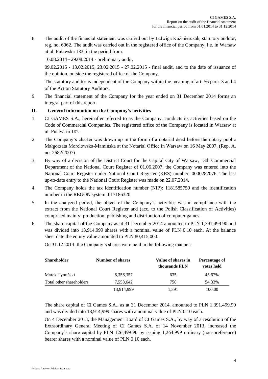8. The audit of the financial statement was carried out by Jadwiga Kaźmierczak, statutory auditor, reg. no. 6062. The audit was carried out in the registered office of the Company, i.e. in Warsaw at ul. Puławska 182, in the period from:

16.08.2014 - 29.08.2014 - preliminary audit,

09.02.2015 - 13.02.2015, 23.02.2015 - 27.02.2015 - final audit, and to the date of issuance of the opinion, outside the registered office of the Company.

The statutory auditor is independent of the Company within the meaning of art. 56 para. 3 and 4 of the Act on Statutory Auditors.

9. The financial statement of the Company for the year ended on 31 December 2014 forms an integral part of this report.

# **II. General information on the Company's activities**

- 1. CI GAMES S.A., hereinafter referred to as the Company, conducts its activities based on the Code of Commercial Companies. The registered office of the Company is located in Warsaw at ul. Puławska 182.
- 2. The Company's charter was drawn up in the form of a notarial deed before the notary public Małgorzata Morelowska-Mamińska at the Notarial Office in Warsaw on 16 May 2007, (Rep. A. no. 2682/2007).
- 3. By way of a decision of the District Court for the Capital City of Warsaw, 13th Commercial Department of the National Court Register of 01.06.2007, the Company was entered into the National Court Register under National Court Register (KRS) number: 0000282076. The last up-to-date entry to the National Court Register was made on 22.07.2014.
- 4. The Company holds the tax identification number (NIP): 1181585759 and the identification number in the REGON system: 017186320.
- 5. In the analyzed period, the object of the Company's activities was in compliance with the extract from the National Court Register and (acc. to the Polish Classification of Activities) comprised mainly: production, publishing and distribution of computer games.
- 6. The share capital of the Company as at 31 December 2014 amounted to PLN 1,391,499.90 and was divided into 13,914,999 shares with a nominal value of PLN 0.10 each. At the balance sheet date the equity value amounted to PLN 80,415,000.

On 31.12.2014, the Company's shares were held in the following manner:

| <b>Shareholder</b>       | <b>Number of shares</b> | Value of shares in<br>thousands PLN | Percentage of<br>votes held |
|--------------------------|-------------------------|-------------------------------------|-----------------------------|
| Marek Tymiński           | 6,356,357               | 635                                 | 45.67%                      |
| Total other shareholders | 7.558.642               | 756                                 | 54.33%                      |
|                          | 13,914,999              | 1.391                               | 100.00                      |

The share capital of CI Games S.A., as at 31 December 2014, amounted to PLN 1,391,499.90 and was divided into 13,914,999 shares with a nominal value of PLN 0.10 each.

On 4 December 2013, the Management Board of CI Games S.A., by way of a resolution of the Extraordinary General Meeting of CI Games S.A. of 14 November 2013, increased the Company's share capital by PLN 126,499.90 by issuing 1,264,999 ordinary (non-preference) bearer shares with a nominal value of PLN 0.10 each.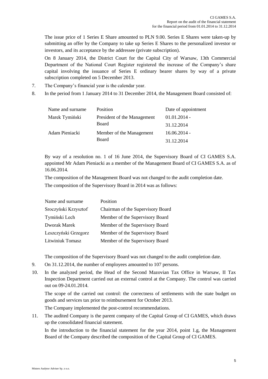The issue price of 1 Series E Share amounted to PLN 9.00. Series E Shares were taken-up by submitting an offer by the Company to take up Series E Shares to the personalized investor or investors, and its acceptance by the addressee (private subscription).

On 8 January 2014, the District Court for the Capital City of Warsaw, 13th Commercial Department of the National Court Register registered the increase of the Company's share capital involving the issuance of Series E ordinary bearer shares by way of a private subscription completed on 5 December 2013.

- 7. The Company's financial year is the calendar year.
- 8. In the period from 1 January 2014 to 31 December 2014, the Management Board consisted of:

| Name and surname | Position                    | Date of appointment |
|------------------|-----------------------------|---------------------|
| Marek Tymiński   | President of the Management | $01.01.2014 -$      |
|                  | Board                       | 31.12.2014          |
| Adam Pieniacki   | Member of the Management    | $16.06.2014 -$      |
|                  | <b>Board</b>                | 31.12.2014          |

By way of a resolution no. 1 of 16 June 2014, the Supervisory Board of CI GAMES S.A. appointed Mr Adam Pieniacki as a member of the Management Board of CI GAMES S.A. as of 16.06.2014.

The composition of the Management Board was not changed to the audit completion date.

The composition of the Supervisory Board in 2014 was as follows:

| Name and surname     | Position                          |
|----------------------|-----------------------------------|
| Sroczyński Krzysztof | Chairman of the Supervisory Board |
| Tymiński Lech        | Member of the Supervisory Board   |
| Dworak Marek         | Member of the Supervisory Board   |
| Leszczyński Grzegorz | Member of the Supervisory Board   |
| Litwiniuk Tomasz     | Member of the Supervisory Board   |

The composition of the Supervisory Board was not changed to the audit completion date.

- 9. On 31.12.2014, the number of employees amounted to 107 persons.
- 10. In the analyzed period, the Head of the Second Mazovian Tax Office in Warsaw, II Tax Inspection Department carried out an external control at the Company. The control was carried out on 09-24.01.2014.

The scope of the carried out control: the correctness of settlements with the state budget on goods and services tax prior to reimbursement for October 2013.

The Company implemented the post-control recommendations.

11. The audited Company is the parent company of the Capital Group of CI GAMES, which draws up the consolidated financial statement.

In the introduction to the financial statement for the year 2014, point 1.g, the Management Board of the Company described the composition of the Capital Group of CI GAMES.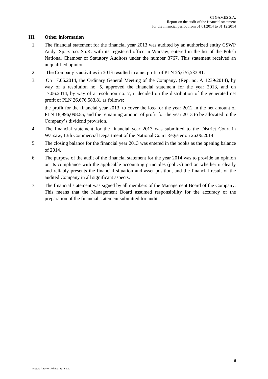#### **III. Other information**

- 1. The financial statement for the financial year 2013 was audited by an authorized entity CSWP Audyt Sp. z o.o. Sp.K. with its registered office in Warsaw, entered in the list of the Polish National Chamber of Statutory Auditors under the number 3767. This statement received an unqualified opinion.
- 2. The Company's activities in 2013 resulted in a net profit of PLN 26,676,583.81.
- 3. On 17.06.2014, the Ordinary General Meeting of the Company, (Rep. no. A 1239/2014), by way of a resolution no. 5, approved the financial statement for the year 2013, and on 17.06.2014, by way of a resolution no. 7, it decided on the distribution of the generated net profit of PLN 26,676,583.81 as follows:

the profit for the financial year 2013, to cover the loss for the year 2012 in the net amount of PLN 18,996,098.55, and the remaining amount of profit for the year 2013 to be allocated to the Company's dividend provision.

- 4. The financial statement for the financial year 2013 was submitted to the District Court in Warsaw, 13th Commercial Department of the National Court Register on 26.06.2014.
- 5. The closing balance for the financial year 2013 was entered in the books as the opening balance of 2014.
- 6. The purpose of the audit of the financial statement for the year 2014 was to provide an opinion on its compliance with the applicable accounting principles (policy) and on whether it clearly and reliably presents the financial situation and asset position, and the financial result of the audited Company in all significant aspects.
- 7. The financial statement was signed by all members of the Management Board of the Company. This means that the Management Board assumed responsibility for the accuracy of the preparation of the financial statement submitted for audit.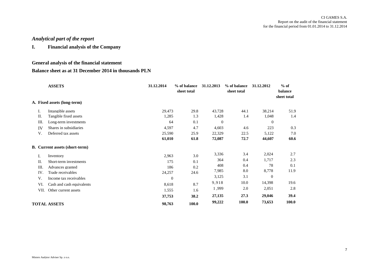# *Analytical part of the report*

**I. Financial analysis of the Company**

# **General analysis of the financial statement**

### **Balance sheet as at 31 December 2014 in thousands PLN**

|           | <b>ASSETS</b>                         | 31.12.2014 | % of balance<br>sheet total | 31.12.2013       | % of balance<br>sheet total | 31.12.2012       | $%$ of<br>balance<br>sheet total |
|-----------|---------------------------------------|------------|-----------------------------|------------------|-----------------------------|------------------|----------------------------------|
|           | A. Fixed assets (long-term)           |            |                             |                  |                             |                  |                                  |
| I.        | Intangible assets                     | 29,473     | 29.8                        | 43,728           | 44.1                        | 38,214           | 51.9                             |
| П.        | Tangible fixed assets                 | 1,285      | 1.3                         | 1,428            | 1.4                         | 1,048            | 1.4                              |
| Ш.        | Long-term investments                 | 64         | 0.1                         | $\boldsymbol{0}$ |                             | $\boldsymbol{0}$ |                                  |
| <b>IV</b> | Shares in subsidiaries                | 4,597      | 4.7                         | 4,603            | 4.6                         | 223              | 0.3                              |
| V.        | Deferred tax assets                   | 25,590     | 25.9                        | 22,329           | 22.5                        | 5,122            | 7.0                              |
|           |                                       | 61,010     | 61.8                        | 72,087           | 72.7                        | 44,607           | 60.6                             |
|           | <b>B.</b> Current assets (short-term) |            |                             |                  |                             |                  |                                  |
| I.        | Inventory                             | 2,963      | 3.0                         | 3,336            | 3.4                         | 2,024            | 2.7                              |
| П.        | Short-term investments                | 175        | 0.1                         | 364              | 0.4                         | 1,717            | 2.3                              |
| Ш.        | Advances granted                      | 186        | 0.2                         | 408              | 0.4                         | 78               | 0.1                              |
| IV.       | Trade receivables                     | 24,257     | 24.6                        | 7,985            | 8.0                         | 8,778            | 11.9                             |
| V.        | Income tax receivables                | $\theta$   |                             | 3,125            | 3.1                         | $\mathbf{0}$     |                                  |
| VI.       | Cash and cash equivalents             | 8,618      | 8.7                         | 9,918            | 10.0                        | 14,398           | 19.6                             |
| VII.      | Other current assets                  | 1,555      | 1.6                         | 1,999            | 2.0                         | 2,051            | 2.8                              |
|           |                                       | 37,753     | 38.2                        | 27,135           | 27.3                        | 29,046           | 39.4                             |
|           | <b>TOTAL ASSETS</b>                   | 98,763     | 100.0                       | 99,222           | <b>100.0</b>                | 73,653           | 100.0                            |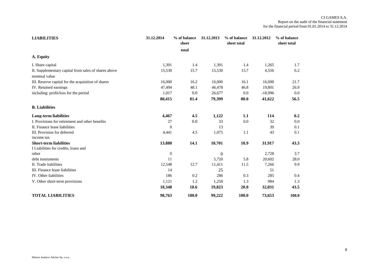| <b>LIABILITIES</b>                                   | 31.12.2014       | % of balance | 31.12.2013   | % of balance | 31.12.2012 | % of balance |
|------------------------------------------------------|------------------|--------------|--------------|--------------|------------|--------------|
|                                                      |                  | sheet        |              | sheet total  |            | sheet total  |
|                                                      |                  | total        |              |              |            |              |
| A. Equity                                            |                  |              |              |              |            |              |
| I. Share capital                                     | 1,391            | 1.4          | 1,391        | 1.4          | 1,265      | 1.7          |
| II. Supplementary capital from sales of shares above | 15,530           | 15.7         | 15,530       | 15.7         | 4,556      | 6.2          |
| nominal value                                        |                  |              |              |              |            |              |
| III. Reserve capital for the acquisition of shares   | 16,000           | 16.2         | 16,000       | 16.1         | 16,000     | 21.7         |
| IV. Retained earnings                                | 47,494           | 48.1         | 46,478       | 46.8         | 19.801     | 26.9         |
| including: profit/loss for the period                | 1,017            | 0.0          | 26,677       | 0.0          | $-18,996$  | 0.0          |
|                                                      | 80,415           | 81.4         | 79,399       | 80.0         | 41,622     | 56.5         |
| <b>B.</b> Liabilities                                |                  |              |              |              |            |              |
| Long-term liabilities                                | 4,467            | 4.5          | 1,122        | 1.1          | 114        | 0.2          |
| I. Provisions for retirement and other benefits      | 27               | 0.0          | 33           | 0.0          | 32         | $0.0\,$      |
| II. Finance lease liabilities                        | $\theta$         |              | 13           |              | 39         | 0.1          |
| III. Provision for deferred                          | 4,441            | 4.5          | 1,075        | 1.1          | 43         | 0.1          |
| income tax                                           |                  |              |              |              |            |              |
| <b>Short-term liabilities</b>                        | 13.880           | 14.1         | 18,701       | 18.9         | 31,917     | 43.3         |
| I Liabilities for credits, loans and                 |                  |              |              |              |            |              |
| other                                                | $\boldsymbol{0}$ |              | $\mathbf{0}$ |              | 2,728      | 3.7          |
| debt instruments                                     | 11               |              | 5,720        | 5.8          | 20,602     | 28.0         |
| II. Trade liabilities                                | 12,548           | 12.7         | 11,411       | 11.5         | 7,266      | 9.9          |
| III. Finance lease liabilities                       | 14               |              | 25           |              | 51         |              |
| IV. Other liabilities                                | 186              | 0.2          | 286          | 0.3          | 285        | 0.4          |
| V. Other short-term provisions                       | 1,121            | 1.2          | 1,258        | 1.3          | 984        | 1.3          |
|                                                      | 18,348           | 18.6         | 19,823       | 20.0         | 32,031     | 43.5         |
| <b>TOTAL LIABILITIES</b>                             | 98,763           | 100.0        | 99,222       | 100.0        | 73,653     | 100.0        |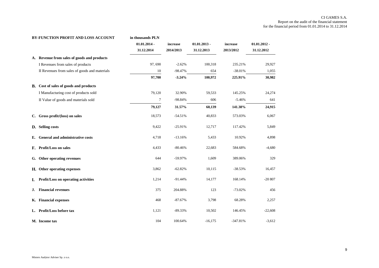#### CI GAMES S.A. Report on the audit of the financial statement for the financial period from 01.01.2014 to 31.12.2014

|    | BY-FUNCTION PROFIT AND LOSS ACCOUNT           | in thousands PLN |           |                |            |                |
|----|-----------------------------------------------|------------------|-----------|----------------|------------|----------------|
|    |                                               | $01.01.2014 -$   | increase  | $01.01.2013 -$ | increase   | $01.01.2012 -$ |
|    |                                               | 31.12.2014       | 2014/2013 | 31.12.2013     | 2013/2012  | 31.12.2012     |
|    | A. Revenue from sales of goods and products   |                  |           |                |            |                |
|    | I Revenues from sales of products             | 97,690           | $-2.62%$  | 100,318        | 235.21%    | 29,927         |
|    | II Revenues from sales of goods and materials | 10               | $-98.47%$ | 654            | $-38.01%$  | 1,055          |
|    |                                               | 97,700           | $-3.24%$  | 100,972        | 225.91%    | 30,982         |
|    | B. Cost of sales of goods and products        |                  |           |                |            |                |
|    | I Manufacturing cost of products sold         | 79,120           | 32.90%    | 59,533         | 145.25%    | 24,274         |
|    | II Value of goods and materials sold          | $\boldsymbol{7}$ | $-98.84%$ | 606            | $-5.46%$   | 641            |
|    |                                               | 79,127           | 31.57%    | 60,139         | 141.38%    | 24,915         |
|    | C. Gross profit/(loss) on sales               | 18,573           | $-54.51%$ | 40,833         | 573.03%    | 6,067          |
|    | D. Selling costs                              | 9,422            | $-25.91%$ | 12,717         | 117.42%    | 5,849          |
|    | E. General and administrative costs           | 4,718            | $-13.16%$ | 5,433          | 10.92%     | 4,898          |
|    | F. Profit/Loss on sales                       | 4,433            | $-80.46%$ | 22,683         | 584.68%    | $-4,680$       |
|    | G. Other operating revenues                   | 644              | -59.97%   | 1,609          | 389.06%    | 329            |
|    | H. Other operating expenses                   | 3,862            | $-62.82%$ | 10,115         | $-38.53%$  | 16,457         |
| I. | Profit/Loss on operating activities           | 1,214            | $-91.44%$ | 14,177         | 168.14%    | $-20807$       |
| J. | <b>Financial revenues</b>                     | 375              | 204.88%   | 123            | $-73.02%$  | 456            |
|    | K. Financial expenses                         | 468              | $-87.67%$ | 3,798          | 68.28%     | 2,257          |
|    | L. Profit/Loss before tax                     | 1,121            | $-89.33%$ | 10,502         | 146.45%    | $-22,608$      |
|    | M. Income tax                                 | 104              | 100.64%   | $-16,175$      | $-347.81%$ | $-3,612$       |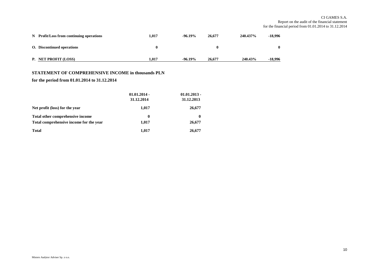#### CI GAMES S.A. Report on the audit of the financial statement for the financial period from 01.01.2014 to 31.12.2014

| N Profit/Loss from continuing operations | 1.017 | $-96.19\%$ | 26,677 | 240.437% | -18.996 |
|------------------------------------------|-------|------------|--------|----------|---------|
| <b>O.</b> Discontinued operations        | 0     |            | 0      |          |         |
| P. NET PROFIT (LOSS)                     | 1.017 | $-96.19\%$ | 26,677 | 240.43%  | -18.996 |

#### **STATEMENT OF COMPREHENSIVE INCOME in thousands PLN**

#### **for the period from 01.01.2014 to 31.12.2014**

|                                                                             | $01.01.2014 -$<br>31.12.2014 | $01.01.2013 -$<br>31.12.2013 |
|-----------------------------------------------------------------------------|------------------------------|------------------------------|
| Net profit (loss) for the year                                              | 1,017                        | 26,677                       |
| Total other comprehensive income<br>Total comprehensive income for the year | 0<br>1,017                   | 0<br>26,677                  |
| <b>Total</b>                                                                | 1,017                        | 26,677                       |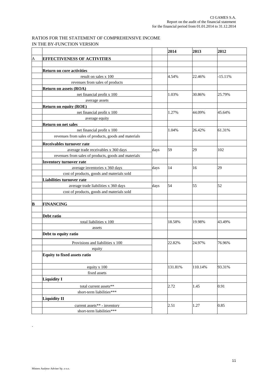#### RATIOS FOR THE STATEMENT OF COMPREHENSIVE INCOME IN THE BY-FUNCTION VERSION

|                         |                                                      |      | 2014    | 2013    | 2012      |
|-------------------------|------------------------------------------------------|------|---------|---------|-----------|
| $\overline{A}$          | <b>EFFECTIVENESS OF ACTIVITIES</b>                   |      |         |         |           |
|                         |                                                      |      |         |         |           |
|                         | <b>Return on core activities</b>                     |      |         |         |           |
|                         | result on sales x 100                                |      | 4.54%   | 22.46%  | $-15.11%$ |
|                         | revenues from sales of products                      |      |         |         |           |
|                         | <b>Return on assets (ROA)</b>                        |      |         |         |           |
|                         | net financial profit x 100                           |      | 1.03%   | 30.86%  | 25.79%    |
|                         | average assets                                       |      |         |         |           |
|                         | <b>Return on equity (ROE)</b>                        |      |         |         |           |
|                         | net financial profit x 100                           |      | 1.27%   | 44.09%  | 45.64%    |
|                         | average equity                                       |      |         |         |           |
|                         | <b>Return on net sales</b>                           |      |         |         |           |
|                         | net financial profit x 100                           |      | 1.04%   | 26.42%  | 61.31%    |
|                         | revenues from sales of products, goods and materials |      |         |         |           |
|                         | <b>Receivables turnover rate</b>                     |      |         |         |           |
|                         | average trade receivables x 360 days                 | days | 59      | 29      | 102       |
|                         | revenues from sales of products, goods and materials |      |         |         |           |
|                         | <b>Inventory turnover rate</b>                       |      |         |         |           |
|                         | average inventories x 360 days                       | days | 14      | 16      | 29        |
|                         | cost of products, goods and materials sold           |      |         |         |           |
|                         | Liabilities turnover rate                            |      |         |         |           |
|                         | average trade liabilities x 360 days                 | days | 54      | 55      | 52        |
|                         | cost of products, goods and materials sold           |      |         |         |           |
|                         |                                                      |      |         |         |           |
| $\overline{\mathbf{B}}$ | <b>FINANCING</b>                                     |      |         |         |           |
|                         |                                                      |      |         |         |           |
|                         | Debt ratio                                           |      |         |         |           |
|                         | total liabilities x 100                              |      | 18.58%  | 19.98%  | 43.49%    |
|                         | assets                                               |      |         |         |           |
|                         | Debt to equity ratio                                 |      |         |         |           |
|                         | Provisions and liabilities x 100                     |      | 22.82%  | 24.97%  | 76.96%    |
|                         | equity                                               |      |         |         |           |
|                         | <b>Equity to fixed assets ratio</b>                  |      |         |         |           |
|                         | equity x 100                                         |      | 131.81% | 110.14% | 93.31%    |
|                         | fixed assets                                         |      |         |         |           |
|                         | <b>Liquidity I</b>                                   |      |         |         |           |
|                         | total current assets**                               |      | 2.72    | 1.45    | 0.91      |
|                         | short-term liabilities***                            |      |         |         |           |
|                         | <b>Liquidity II</b>                                  |      |         |         |           |
|                         | current assets** - inventory                         |      | 2.51    | 1.27    | 0.85      |
|                         | short-term liabilities***                            |      |         |         |           |

.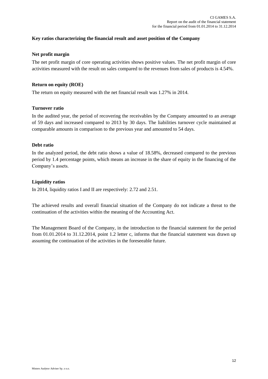# **Key ratios characterizing the financial result and asset position of the Company**

#### **Net profit margin**

The net profit margin of core operating activities shows positive values. The net profit margin of core activities measured with the result on sales compared to the revenues from sales of products is 4.54%.

#### **Return on equity (ROE)**

The return on equity measured with the net financial result was 1.27% in 2014.

#### **Turnover ratio**

In the audited year, the period of recovering the receivables by the Company amounted to an average of 59 days and increased compared to 2013 by 30 days. The liabilities turnover cycle maintained at comparable amounts in comparison to the previous year and amounted to 54 days.

#### **Debt ratio**

In the analyzed period, the debt ratio shows a value of 18.58%, decreased compared to the previous period by 1.4 percentage points, which means an increase in the share of equity in the financing of the Company's assets.

#### **Liquidity ratios**

In 2014, liquidity ratios I and II are respectively: 2.72 and 2.51.

The achieved results and overall financial situation of the Company do not indicate a threat to the continuation of the activities within the meaning of the Accounting Act.

The Management Board of the Company, in the introduction to the financial statement for the period from 01.01.2014 to 31.12.2014, point 1.2 letter c, informs that the financial statement was drawn up assuming the continuation of the activities in the foreseeable future.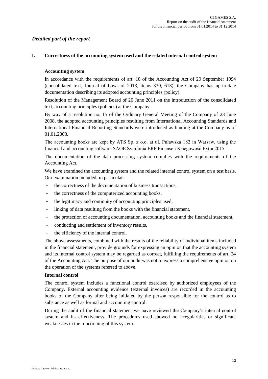# *Detailed part of the report*

#### **I. Correctness of the accounting system used and the related internal control system**

#### **Accounting system**

In accordance with the requirements of art. 10 of the Accounting Act of 29 September 1994 (consolidated text, Journal of Laws of 2013, items 330, 613), the Company has up-to-date documentation describing its adopted accounting principles (policy).

Resolution of the Management Board of 20 June 2011 on the introduction of the consolidated text, accounting principles (policies) at the Company.

By way of a resolution no. 15 of the Ordinary General Meeting of the Company of 23 June 2008, the adopted accounting principles resulting from International Accounting Standards and International Financial Reporting Standards were introduced as binding at the Company as of 01.01.2008.

The accounting books are kept by ATS Sp. z o.o. at ul. Puławska 182 in Warsaw, using the financial and accounting software SAGE Symfonia ERP Finanse i Księgowość Extra 2015.

The documentation of the data processing system complies with the requirements of the Accounting Act.

We have examined the accounting system and the related internal control system on a test basis. Our examination included, in particular:

- the correctness of the documentation of business transactions.
- the correctness of the computerized accounting books,
- the legitimacy and continuity of accounting principles used,
- linking of data resulting from the books with the financial statement,
- the protection of accounting documentation, accounting books and the financial statement,
- conducting and settlement of inventory results,
- the efficiency of the internal control.

The above assessments, combined with the results of the reliability of individual items included in the financial statement, provide grounds for expressing an opinion that the accounting system and its internal control system may be regarded as correct, fulfilling the requirements of art. 24 of the Accounting Act. The purpose of our audit was not to express a comprehensive opinion on the operation of the systems referred to above.

#### **Internal control**

The control system includes a functional control exercised by authorized employees of the Company. External accounting evidence (external invoices) are recorded in the accounting books of the Company after being initialed by the person responsible for the control as to substance as well as formal and accounting control.

During the audit of the financial statement we have reviewed the Company's internal control system and its effectiveness. The procedures used showed no irregularities or significant weaknesses in the functioning of this system.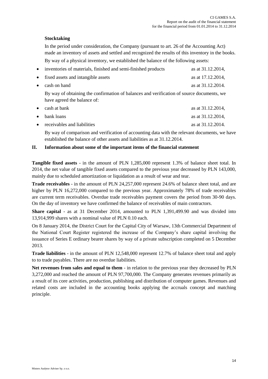# **Stocktaking**

In the period under consideration, the Company (pursuant to art. 26 of the Accounting Act) made an inventory of assets and settled and recognized the results of this inventory in the books. By way of a physical inventory, we established the balance of the following assets:

| $\bullet$ | inventories of materials, finished and semi-finished products                                                            | as at 31.12.2014, |
|-----------|--------------------------------------------------------------------------------------------------------------------------|-------------------|
| $\bullet$ | fixed assets and intangible assets                                                                                       | as at 17.12.2014, |
| $\bullet$ | cash on hand                                                                                                             | as at 31.12.2014. |
|           | By way of obtaining the confirmation of balances and verification of source documents, we<br>have agreed the balance of: |                   |
| $\bullet$ | cash at bank                                                                                                             | as at 31.12.2014, |
| $\bullet$ | bank loans                                                                                                               | as at 31.12.2014, |
| $\bullet$ | receivables and liabilities                                                                                              | as at 31.12.2014. |

By way of comparison and verification of accounting data with the relevant documents, we have established the balance of other assets and liabilities as at 31.12.2014.

# **II. Information about some of the important items of the financial statement**

**Tangible fixed assets** - in the amount of PLN 1,285,000 represent 1.3% of balance sheet total. In 2014, the net value of tangible fixed assets compared to the previous year decreased by PLN 143,000, mainly due to scheduled amortization or liquidation as a result of wear and tear.

**Trade receivables** - in the amount of PLN 24,257,000 represent 24.6% of balance sheet total, and are higher by PLN 16,272,000 compared to the previous year. Approximately 78% of trade receivables are current term receivables. Overdue trade receivables payment covers the period from 30-90 days. On the day of inventory we have confirmed the balance of receivables of main contractors.

**Share capital** - as at 31 December 2014, amounted to PLN 1,391,499.90 and was divided into 13,914,999 shares with a nominal value of PLN 0.10 each.

On 8 January 2014, the District Court for the Capital City of Warsaw, 13th Commercial Department of the National Court Register registered the increase of the Company's share capital involving the issuance of Series E ordinary bearer shares by way of a private subscription completed on 5 December 2013.

**Trade liabilities** - in the amount of PLN 12,548,000 represent 12.7% of balance sheet total and apply to to trade payables. There are no overdue liabilities.

**Net revenues from sales and equal to them** - in relation to the previous year they decreased by PLN 3,272,000 and reached the amount of PLN 97,700,000. The Company generates revenues primarily as a result of its core activities, production, publishing and distribution of computer games. Revenues and related costs are included in the accounting books applying the accruals concept and matching principle.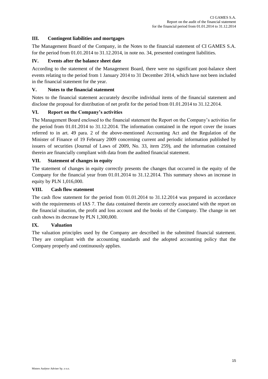# **III. Contingent liabilities and mortgages**

The Management Board of the Company, in the Notes to the financial statement of CI GAMES S.A. for the period from 01.01.2014 to 31.12.2014, in note no. 34, presented contingent liabilities.

# **IV. Events after the balance sheet date**

According to the statement of the Management Board, there were no significant post-balance sheet events relating to the period from 1 January 2014 to 31 December 2014, which have not been included in the financial statement for the year.

# **V. Notes to the financial statement**

Notes to the financial statement accurately describe individual items of the financial statement and disclose the proposal for distribution of net profit for the period from 01.01.2014 to 31.12.2014.

# **VI. Report on the Company's activities**

The Management Board enclosed to the financial statement the Report on the Company's activities for the period from 01.01.2014 to 31.12.2014. The information contained in the report cover the issues referred to in art. 49 para. 2 of the above-mentioned Accounting Act and the Regulation of the Minister of Finance of 19 February 2009 concerning current and periodic information published by issuers of securities (Journal of Laws of 2009, No. 33, item 259), and the information contained therein are financially compliant with data from the audited financial statement.

# **VII. Statement of changes in equity**

The statement of changes in equity correctly presents the changes that occurred in the equity of the Company for the financial year from 01.01.2014 to 31.12.2014. This summary shows an increase in equity by PLN 1,016,000.

# **VIII. Cash flow statement**

The cash flow statement for the period from 01.01.2014 to 31.12.2014 was prepared in accordance with the requirements of IAS 7. The data contained therein are correctly associated with the report on the financial situation, the profit and loss account and the books of the Company. The change in net cash shows its decrease by PLN 1,300,000.

# **IX. Valuation**

The valuation principles used by the Company are described in the submitted financial statement. They are compliant with the accounting standards and the adopted accounting policy that the Company properly and continuously applies.